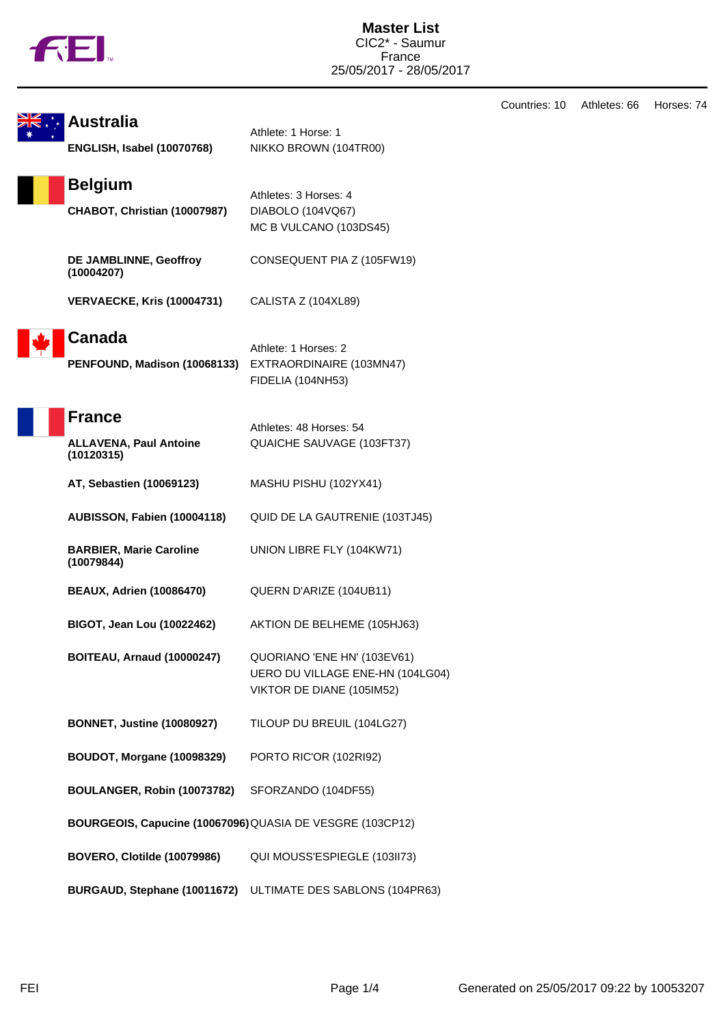|                                                           |                                                  | Countries: 10 | Athletes: 66 | Horses: 74 |
|-----------------------------------------------------------|--------------------------------------------------|---------------|--------------|------------|
| <b>Australia</b>                                          | Athlete: 1 Horse: 1                              |               |              |            |
| <b>ENGLISH, Isabel (10070768)</b>                         | NIKKO BROWN (104TR00)                            |               |              |            |
| <b>Belgium</b>                                            | Athletes: 3 Horses: 4                            |               |              |            |
| CHABOT, Christian (10007987)                              | DIABOLO (104VQ67)                                |               |              |            |
|                                                           | MC B VULCANO (103DS45)                           |               |              |            |
| DE JAMBLINNE, Geoffroy<br>(10004207)                      | CONSEQUENT PIA Z (105FW19)                       |               |              |            |
| <b>VERVAECKE, Kris (10004731)</b>                         | CALISTA Z (104XL89)                              |               |              |            |
| <b>Canada</b>                                             |                                                  |               |              |            |
| PENFOUND, Madison (10068133)                              | Athlete: 1 Horses: 2<br>EXTRAORDINAIRE (103MN47) |               |              |            |
|                                                           | FIDELIA (104NH53)                                |               |              |            |
| <b>France</b>                                             |                                                  |               |              |            |
|                                                           | Athletes: 48 Horses: 54                          |               |              |            |
| <b>ALLAVENA, Paul Antoine</b><br>(10120315)               | QUAICHE SAUVAGE (103FT37)                        |               |              |            |
| AT, Sebastien (10069123)                                  | MASHU PISHU (102YX41)                            |               |              |            |
| AUBISSON, Fabien (10004118)                               | QUID DE LA GAUTRENIE (103TJ45)                   |               |              |            |
| <b>BARBIER, Marie Caroline</b><br>(10079844)              | UNION LIBRE FLY (104KW71)                        |               |              |            |
| <b>BEAUX, Adrien (10086470)</b>                           | QUERN D'ARIZE (104UB11)                          |               |              |            |
| <b>BIGOT, Jean Lou (10022462)</b>                         | AKTION DE BELHEME (105HJ63)                      |               |              |            |
| <b>BOITEAU, Arnaud (10000247)</b>                         | QUORIANO 'ENE HN' (103EV61)                      |               |              |            |
|                                                           | UERO DU VILLAGE ENE-HN (104LG04)                 |               |              |            |
|                                                           | VIKTOR DE DIANE (105IM52)                        |               |              |            |
| <b>BONNET, Justine (10080927)</b>                         | TILOUP DU BREUIL (104LG27)                       |               |              |            |
| BOUDOT, Morgane (10098329)                                | PORTO RIC'OR (102RI92)                           |               |              |            |
| BOULANGER, Robin (10073782)                               | SFORZANDO (104DF55)                              |               |              |            |
| BOURGEOIS, Capucine (10067096) QUASIA DE VESGRE (103CP12) |                                                  |               |              |            |
| <b>BOVERO, Clotilde (10079986)</b>                        | QUI MOUSS'ESPIEGLE (103II73)                     |               |              |            |
| BURGAUD, Stephane (10011672)                              | ULTIMATE DES SABLONS (104PR63)                   |               |              |            |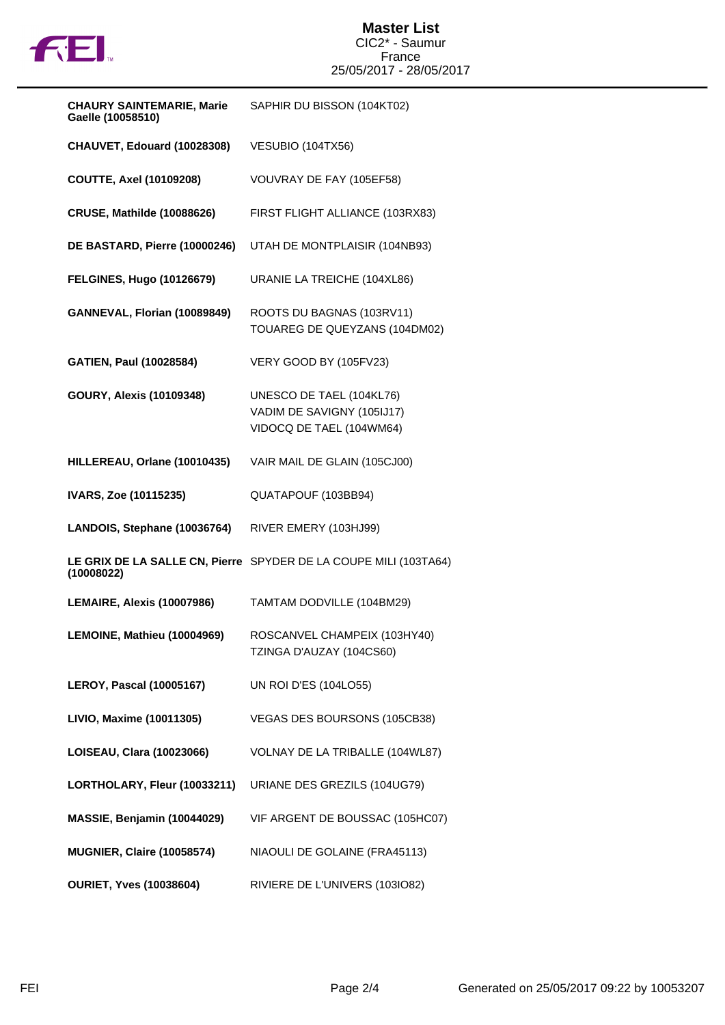

## **Master List** CIC2\* - Saumur France 25/05/2017 - 28/05/2017

| <b>CHAURY SAINTEMARIE, Marie</b><br>Gaelle (10058510) | SAPHIR DU BISSON (104KT02)                                                         |
|-------------------------------------------------------|------------------------------------------------------------------------------------|
| CHAUVET, Edouard (10028308)                           | VESUBIO (104TX56)                                                                  |
| <b>COUTTE, Axel (10109208)</b>                        | VOUVRAY DE FAY (105EF58)                                                           |
| <b>CRUSE, Mathilde (10088626)</b>                     | FIRST FLIGHT ALLIANCE (103RX83)                                                    |
| DE BASTARD, Pierre (10000246)                         | UTAH DE MONTPLAISIR (104NB93)                                                      |
| <b>FELGINES, Hugo (10126679)</b>                      | URANIE LA TREICHE (104XL86)                                                        |
| GANNEVAL, Florian (10089849)                          | ROOTS DU BAGNAS (103RV11)<br>TOUAREG DE QUEYZANS (104DM02)                         |
| <b>GATIEN, Paul (10028584)</b>                        | VERY GOOD BY (105FV23)                                                             |
| <b>GOURY, Alexis (10109348)</b>                       | UNESCO DE TAEL (104KL76)<br>VADIM DE SAVIGNY (105IJ17)<br>VIDOCQ DE TAEL (104WM64) |
| HILLEREAU, Orlane (10010435)                          | VAIR MAIL DE GLAIN (105CJ00)                                                       |
| IVARS, Zoe (10115235)                                 | QUATAPOUF (103BB94)                                                                |
| LANDOIS, Stephane (10036764)                          | RIVER EMERY (103HJ99)                                                              |
| (10008022)                                            | LE GRIX DE LA SALLE CN, Pierre SPYDER DE LA COUPE MILI (103TA64)                   |
| LEMAIRE, Alexis (10007986)                            | TAMTAM DODVILLE (104BM29)                                                          |
| LEMOINE, Mathieu (10004969)                           | ROSCANVEL CHAMPEIX (103HY40)<br>TZINGA D'AUZAY (104CS60)                           |
| <b>LEROY, Pascal (10005167)</b>                       | <b>UN ROI D'ES (104LO55)</b>                                                       |
| LIVIO, Maxime (10011305)                              | VEGAS DES BOURSONS (105CB38)                                                       |
| LOISEAU, Clara (10023066)                             | VOLNAY DE LA TRIBALLE (104WL87)                                                    |
| LORTHOLARY, Fleur (10033211)                          | URIANE DES GREZILS (104UG79)                                                       |
| MASSIE, Benjamin (10044029)                           | VIF ARGENT DE BOUSSAC (105HC07)                                                    |
| MUGNIER, Claire (10058574)                            | NIAOULI DE GOLAINE (FRA45113)                                                      |
| <b>OURIET, Yves (10038604)</b>                        | RIVIERE DE L'UNIVERS (103IO82)                                                     |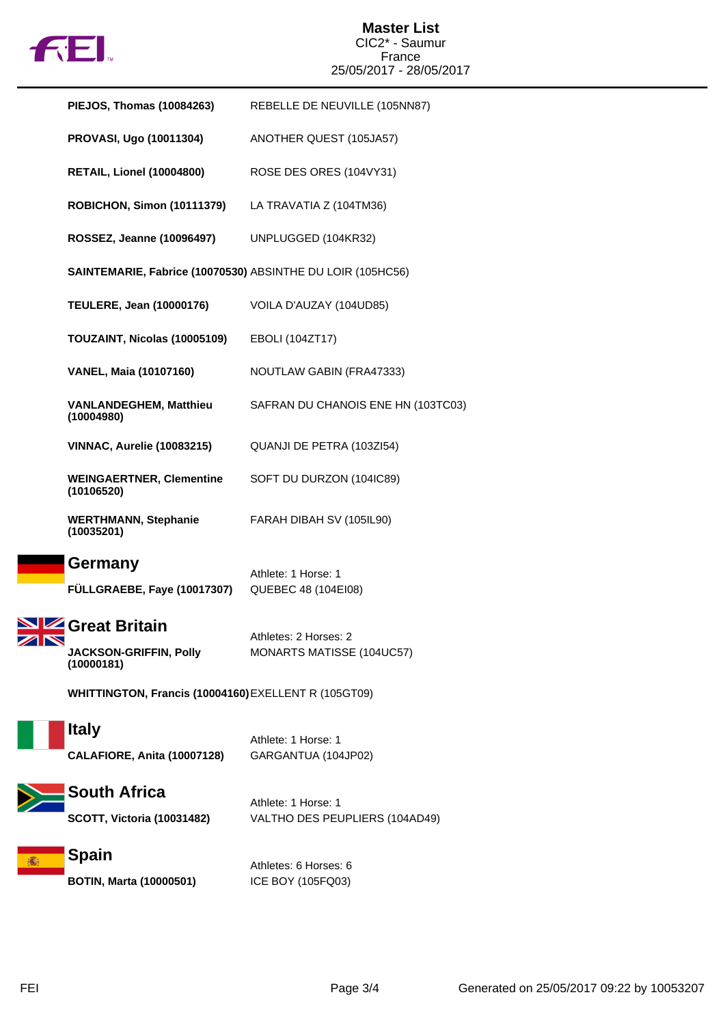

## **Master List** CIC2\* - Saumur France 25/05/2017 - 28/05/2017

| <b>PIEJOS, Thomas (10084263)</b>                                        | REBELLE DE NEUVILLE (105NN87)                         |  |  |
|-------------------------------------------------------------------------|-------------------------------------------------------|--|--|
| <b>PROVASI, Ugo (10011304)</b>                                          | ANOTHER QUEST (105JA57)                               |  |  |
| <b>RETAIL, Lionel (10004800)</b>                                        | ROSE DES ORES (104VY31)                               |  |  |
| <b>ROBICHON, Simon (10111379)</b>                                       | LA TRAVATIA Z (104TM36)                               |  |  |
| ROSSEZ, Jeanne (10096497)                                               | UNPLUGGED (104KR32)                                   |  |  |
| SAINTEMARIE, Fabrice (10070530) ABSINTHE DU LOIR (105HC56)              |                                                       |  |  |
| <b>TEULERE, Jean (10000176)</b>                                         | VOILA D'AUZAY (104UD85)                               |  |  |
| TOUZAINT, Nicolas (10005109)                                            | EBOLI (104ZT17)                                       |  |  |
| <b>VANEL, Maia (10107160)</b>                                           | NOUTLAW GABIN (FRA47333)                              |  |  |
| <b>VANLANDEGHEM, Matthieu</b><br>(10004980)                             | SAFRAN DU CHANOIS ENE HN (103TC03)                    |  |  |
| <b>VINNAC, Aurelie (10083215)</b>                                       | QUANJI DE PETRA (103ZI54)                             |  |  |
| <b>WEINGAERTNER, Clementine</b><br>(10106520)                           | SOFT DU DURZON (104IC89)                              |  |  |
| <b>WERTHMANN, Stephanie</b><br>(10035201)                               | FARAH DIBAH SV (105IL90)                              |  |  |
| Germany<br>FÜLLGRAEBE, Faye (10017307)                                  | Athlete: 1 Horse: 1<br>QUEBEC 48 (104EI08)            |  |  |
| <b>SIZ</b> Great Britain<br><b>JACKSON-GRIFFIN, Polly</b><br>(10000181) | Athletes: 2 Horses: 2<br>MONARTS MATISSE (104UC57)    |  |  |
| WHITTINGTON, Francis (10004160) EXELLENT R (105GT09)                    |                                                       |  |  |
| <b>Italy</b><br>CALAFIORE, Anita (10007128)                             | Athlete: 1 Horse: 1<br>GARGANTUA (104JP02)            |  |  |
| <b>South Africa</b><br><b>SCOTT, Victoria (10031482)</b>                | Athlete: 1 Horse: 1<br>VALTHO DES PEUPLIERS (104AD49) |  |  |
| <b>Spain</b>                                                            |                                                       |  |  |

高

**BOTIN, Marta (10000501)** ICE BOY (105FQ03)

Athletes: 6 Horses: 6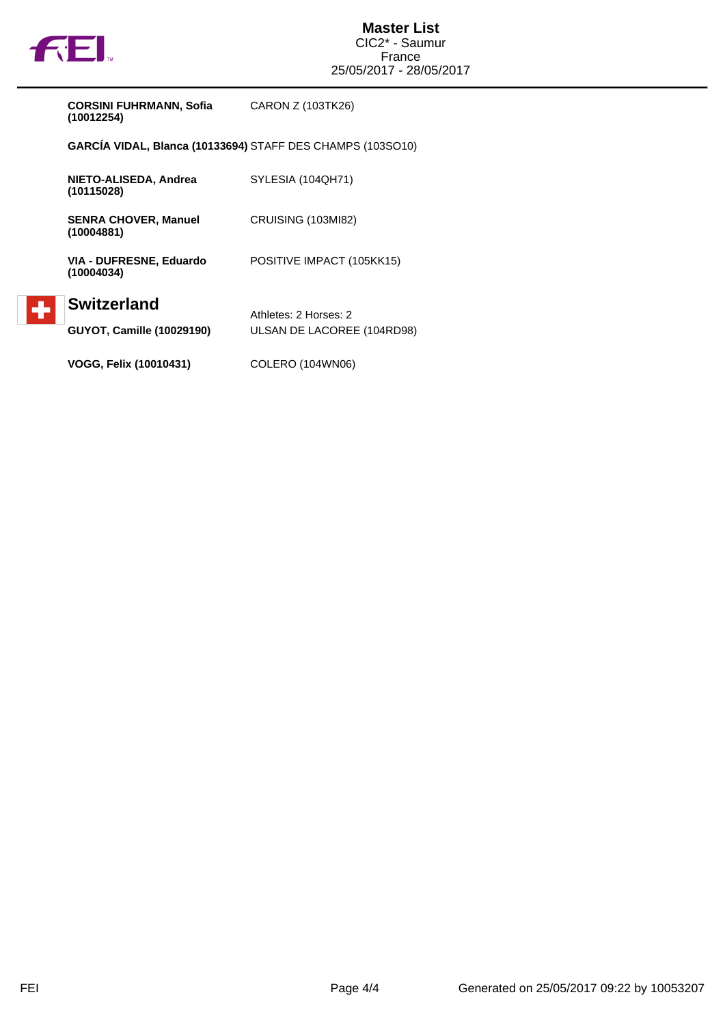

 $\left| \cdot \right|$ 

| <b>CORSINI FUHRMANN, Sofia</b> | CARON Z (103TK26) |
|--------------------------------|-------------------|
| (10012254)                     |                   |

**GARCÍA VIDAL, Blanca (10133694)** STAFF DES CHAMPS (103SO10)

| NIETO-ALISEDA, Andrea<br>(10115028)                    | SYLESIA (104QH71)                                   |
|--------------------------------------------------------|-----------------------------------------------------|
| <b>SENRA CHOVER, Manuel</b><br>(10004881)              | CRUISING (103MI82)                                  |
| VIA - DUFRESNE, Eduardo<br>(10004034)                  | POSITIVE IMPACT (105KK15)                           |
| <b>Switzerland</b><br><b>GUYOT, Camille (10029190)</b> | Athletes: 2 Horses: 2<br>ULSAN DE LACOREE (104RD98) |
| <b>VOGG, Felix (10010431)</b>                          | COLERO (104WN06)                                    |